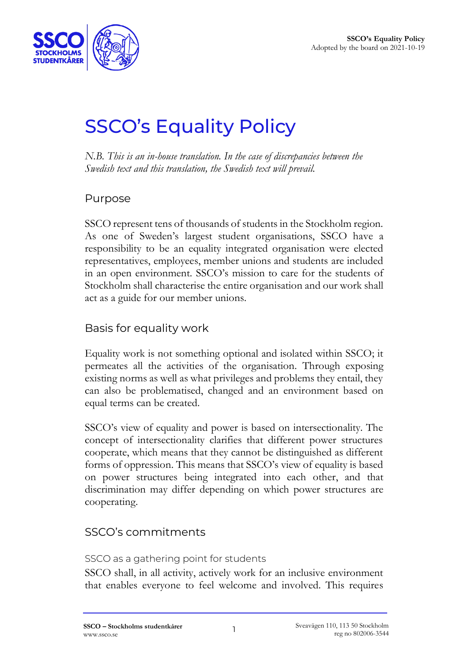

# SSCO's Equality Policy

*N.B. This is an in-house translation. In the case of discrepancies between the Swedish text and this translation, the Swedish text will prevail.*

## Purpose

SSCO represent tens of thousands of students in the Stockholm region. As one of Sweden's largest student organisations, SSCO have a responsibility to be an equality integrated organisation were elected representatives, employees, member unions and students are included in an open environment. SSCO's mission to care for the students of Stockholm shall characterise the entire organisation and our work shall act as a guide for our member unions.

# Basis for equality work

Equality work is not something optional and isolated within SSCO; it permeates all the activities of the organisation. Through exposing existing norms as well as what privileges and problems they entail, they can also be problematised, changed and an environment based on equal terms can be created.

SSCO's view of equality and power is based on intersectionality. The concept of intersectionality clarifies that different power structures cooperate, which means that they cannot be distinguished as different forms of oppression. This means that SSCO's view of equality is based on power structures being integrated into each other, and that discrimination may differ depending on which power structures are cooperating.

## SSCO's commitments

SSCO as a gathering point for students

SSCO shall, in all activity, actively work for an inclusive environment that enables everyone to feel welcome and involved. This requires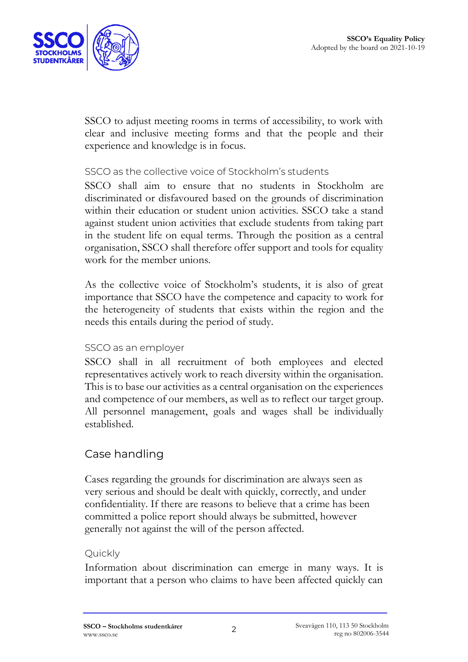

SSCO to adjust meeting rooms in terms of accessibility, to work with clear and inclusive meeting forms and that the people and their experience and knowledge is in focus.

#### SSCO as the collective voice of Stockholm's students

SSCO shall aim to ensure that no students in Stockholm are discriminated or disfavoured based on the grounds of discrimination within their education or student union activities. SSCO take a stand against student union activities that exclude students from taking part in the student life on equal terms. Through the position as a central organisation, SSCO shall therefore offer support and tools for equality work for the member unions.

As the collective voice of Stockholm's students, it is also of great importance that SSCO have the competence and capacity to work for the heterogeneity of students that exists within the region and the needs this entails during the period of study.

#### SSCO as an employer

SSCO shall in all recruitment of both employees and elected representatives actively work to reach diversity within the organisation. This is to base our activities as a central organisation on the experiences and competence of our members, as well as to reflect our target group. All personnel management, goals and wages shall be individually established.

## Case handling

Cases regarding the grounds for discrimination are always seen as very serious and should be dealt with quickly, correctly, and under confidentiality. If there are reasons to believe that a crime has been committed a police report should always be submitted, however generally not against the will of the person affected.

#### Quickly

Information about discrimination can emerge in many ways. It is important that a person who claims to have been affected quickly can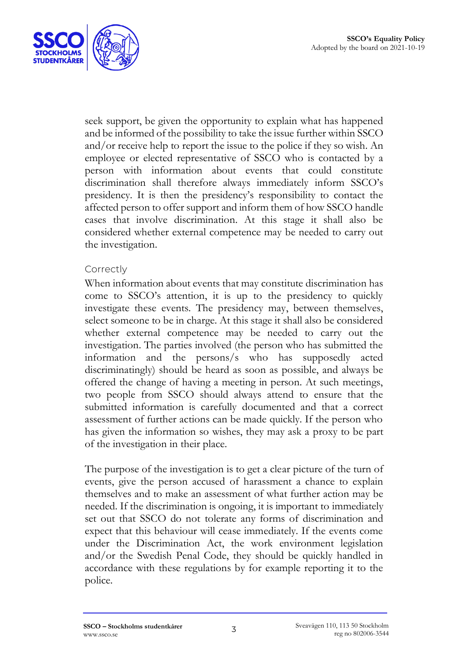

seek support, be given the opportunity to explain what has happened and be informed of the possibility to take the issue further within SSCO and/or receive help to report the issue to the police if they so wish. An employee or elected representative of SSCO who is contacted by a person with information about events that could constitute discrimination shall therefore always immediately inform SSCO's presidency. It is then the presidency's responsibility to contact the affected person to offer support and inform them of how SSCO handle cases that involve discrimination. At this stage it shall also be considered whether external competence may be needed to carry out the investigation.

#### **Correctly**

When information about events that may constitute discrimination has come to SSCO's attention, it is up to the presidency to quickly investigate these events. The presidency may, between themselves, select someone to be in charge. At this stage it shall also be considered whether external competence may be needed to carry out the investigation. The parties involved (the person who has submitted the information and the persons/s who has supposedly acted discriminatingly) should be heard as soon as possible, and always be offered the change of having a meeting in person. At such meetings, two people from SSCO should always attend to ensure that the submitted information is carefully documented and that a correct assessment of further actions can be made quickly. If the person who has given the information so wishes, they may ask a proxy to be part of the investigation in their place.

The purpose of the investigation is to get a clear picture of the turn of events, give the person accused of harassment a chance to explain themselves and to make an assessment of what further action may be needed. If the discrimination is ongoing, it is important to immediately set out that SSCO do not tolerate any forms of discrimination and expect that this behaviour will cease immediately. If the events come under the Discrimination Act, the work environment legislation and/or the Swedish Penal Code, they should be quickly handled in accordance with these regulations by for example reporting it to the police.